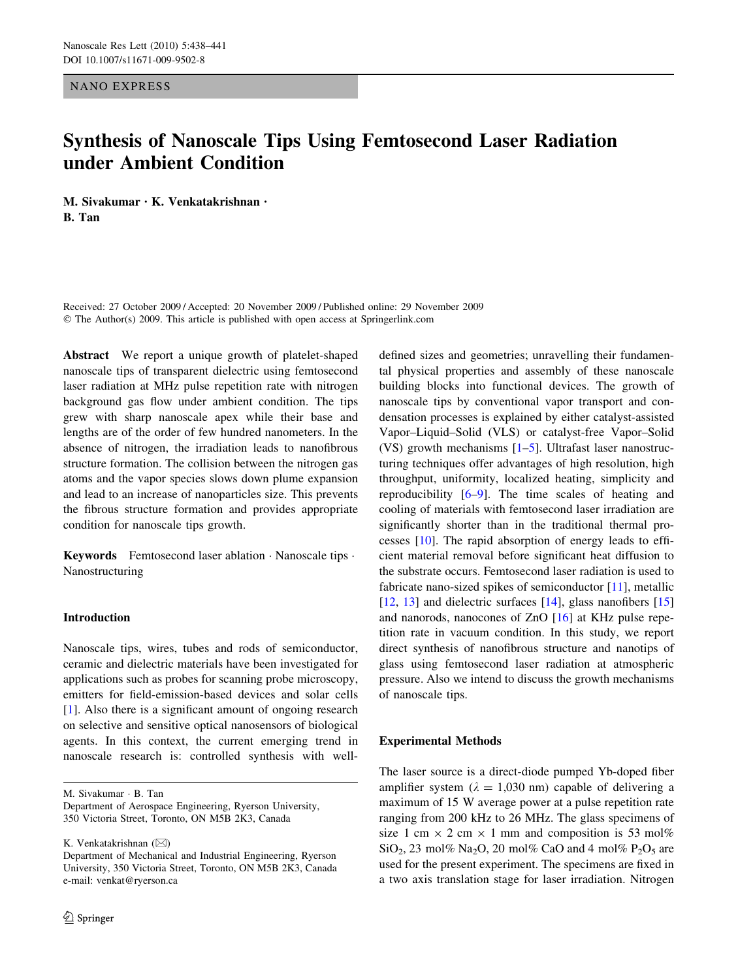NANO EXPRESS

# Synthesis of Nanoscale Tips Using Femtosecond Laser Radiation under Ambient Condition

M. Sivakumar • K. Venkatakrishnan • B. Tan

Received: 27 October 2009 / Accepted: 20 November 2009 / Published online: 29 November 2009  $\odot$  The Author(s) 2009. This article is published with open access at Springerlink.com

Abstract We report a unique growth of platelet-shaped nanoscale tips of transparent dielectric using femtosecond laser radiation at MHz pulse repetition rate with nitrogen background gas flow under ambient condition. The tips grew with sharp nanoscale apex while their base and lengths are of the order of few hundred nanometers. In the absence of nitrogen, the irradiation leads to nanofibrous structure formation. The collision between the nitrogen gas atoms and the vapor species slows down plume expansion and lead to an increase of nanoparticles size. This prevents the fibrous structure formation and provides appropriate condition for nanoscale tips growth.

**Keywords** Femtosecond laser ablation  $\cdot$  Nanoscale tips  $\cdot$ Nanostructuring

### Introduction

Nanoscale tips, wires, tubes and rods of semiconductor, ceramic and dielectric materials have been investigated for applications such as probes for scanning probe microscopy, emitters for field-emission-based devices and solar cells [\[1](#page-3-0)]. Also there is a significant amount of ongoing research on selective and sensitive optical nanosensors of biological agents. In this context, the current emerging trend in nanoscale research is: controlled synthesis with well-

M. Sivakumar · B. Tan

Department of Aerospace Engineering, Ryerson University, 350 Victoria Street, Toronto, ON M5B 2K3, Canada

K. Venkatakrishnan (&)

defined sizes and geometries; unravelling their fundamental physical properties and assembly of these nanoscale building blocks into functional devices. The growth of nanoscale tips by conventional vapor transport and condensation processes is explained by either catalyst-assisted Vapor–Liquid–Solid (VLS) or catalyst-free Vapor–Solid (VS) growth mechanisms  $[1-5]$ . Ultrafast laser nanostructuring techniques offer advantages of high resolution, high throughput, uniformity, localized heating, simplicity and reproducibility [\[6–9](#page-3-0)]. The time scales of heating and cooling of materials with femtosecond laser irradiation are significantly shorter than in the traditional thermal processes [\[10](#page-3-0)]. The rapid absorption of energy leads to efficient material removal before significant heat diffusion to the substrate occurs. Femtosecond laser radiation is used to fabricate nano-sized spikes of semiconductor [\[11](#page-3-0)], metallic [\[12](#page-3-0), [13](#page-3-0)] and dielectric surfaces [\[14](#page-3-0)], glass nanofibers [[15\]](#page-3-0) and nanorods, nanocones of ZnO [\[16](#page-3-0)] at KHz pulse repetition rate in vacuum condition. In this study, we report direct synthesis of nanofibrous structure and nanotips of glass using femtosecond laser radiation at atmospheric pressure. Also we intend to discuss the growth mechanisms of nanoscale tips.

### Experimental Methods

The laser source is a direct-diode pumped Yb-doped fiber amplifier system ( $\lambda = 1,030$  nm) capable of delivering a maximum of 15 W average power at a pulse repetition rate ranging from 200 kHz to 26 MHz. The glass specimens of size 1 cm  $\times$  2 cm  $\times$  1 mm and composition is 53 mol%  $SiO<sub>2</sub>$ , 23 mol% Na<sub>2</sub>O, 20 mol% CaO and 4 mol% P<sub>2</sub>O<sub>5</sub> are used for the present experiment. The specimens are fixed in a two axis translation stage for laser irradiation. Nitrogen

Department of Mechanical and Industrial Engineering, Ryerson University, 350 Victoria Street, Toronto, ON M5B 2K3, Canada e-mail: venkat@ryerson.ca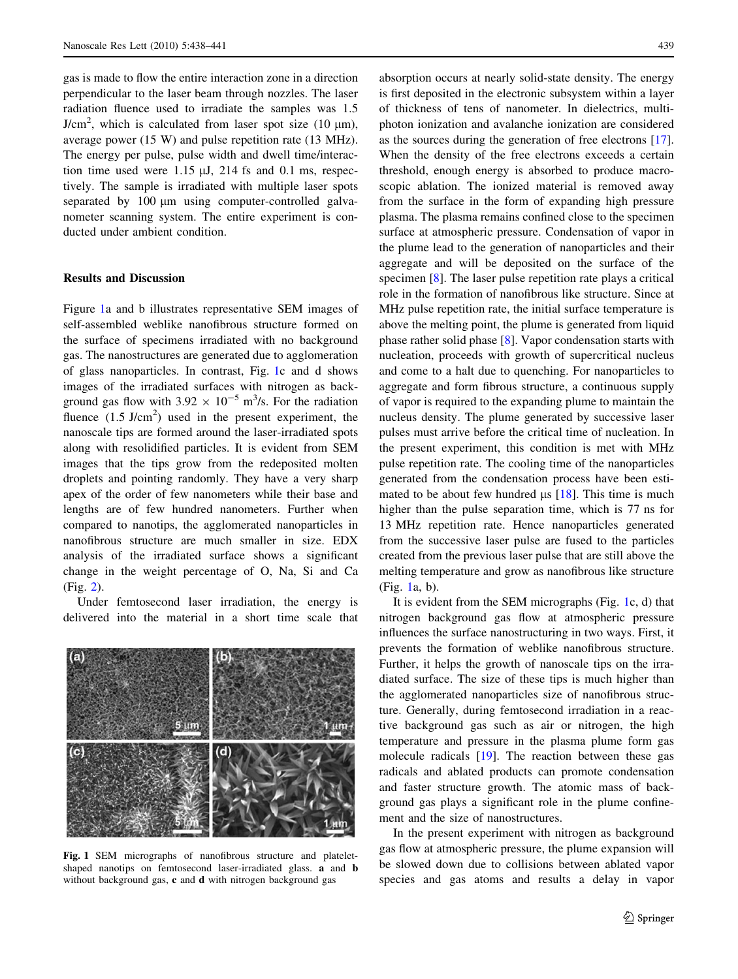<span id="page-1-0"></span>gas is made to flow the entire interaction zone in a direction perpendicular to the laser beam through nozzles. The laser radiation fluence used to irradiate the samples was 1.5  $J/cm<sup>2</sup>$ , which is calculated from laser spot size (10  $\mu$ m), average power (15 W) and pulse repetition rate (13 MHz). The energy per pulse, pulse width and dwell time/interaction time used were  $1.15 \mu J$ ,  $214 \text{ fs}$  and  $0.1 \text{ ms}$ , respectively. The sample is irradiated with multiple laser spots separated by  $100 \mu m$  using computer-controlled galvanometer scanning system. The entire experiment is conducted under ambient condition.

# Results and Discussion

Figure 1a and b illustrates representative SEM images of self-assembled weblike nanofibrous structure formed on the surface of specimens irradiated with no background gas. The nanostructures are generated due to agglomeration of glass nanoparticles. In contrast, Fig. 1c and d shows images of the irradiated surfaces with nitrogen as background gas flow with  $3.92 \times 10^{-5}$  m<sup>3</sup>/s. For the radiation fluence  $(1.5 \text{ J/cm}^2)$  used in the present experiment, the nanoscale tips are formed around the laser-irradiated spots along with resolidified particles. It is evident from SEM images that the tips grow from the redeposited molten droplets and pointing randomly. They have a very sharp apex of the order of few nanometers while their base and lengths are of few hundred nanometers. Further when compared to nanotips, the agglomerated nanoparticles in nanofibrous structure are much smaller in size. EDX analysis of the irradiated surface shows a significant change in the weight percentage of O, Na, Si and Ca (Fig. [2](#page-2-0)).

Under femtosecond laser irradiation, the energy is delivered into the material in a short time scale that



Fig. 1 SEM micrographs of nanofibrous structure and plateletshaped nanotips on femtosecond laser-irradiated glass. a and b without background gas, c and d with nitrogen background gas

absorption occurs at nearly solid-state density. The energy is first deposited in the electronic subsystem within a layer of thickness of tens of nanometer. In dielectrics, multiphoton ionization and avalanche ionization are considered as the sources during the generation of free electrons [\[17](#page-3-0)]. When the density of the free electrons exceeds a certain threshold, enough energy is absorbed to produce macroscopic ablation. The ionized material is removed away from the surface in the form of expanding high pressure plasma. The plasma remains confined close to the specimen surface at atmospheric pressure. Condensation of vapor in the plume lead to the generation of nanoparticles and their aggregate and will be deposited on the surface of the specimen [[8\]](#page-3-0). The laser pulse repetition rate plays a critical role in the formation of nanofibrous like structure. Since at MHz pulse repetition rate, the initial surface temperature is above the melting point, the plume is generated from liquid phase rather solid phase [\[8](#page-3-0)]. Vapor condensation starts with nucleation, proceeds with growth of supercritical nucleus and come to a halt due to quenching. For nanoparticles to aggregate and form fibrous structure, a continuous supply of vapor is required to the expanding plume to maintain the nucleus density. The plume generated by successive laser pulses must arrive before the critical time of nucleation. In the present experiment, this condition is met with MHz pulse repetition rate. The cooling time of the nanoparticles generated from the condensation process have been estimated to be about few hundred  $\mu$ s [[18\]](#page-3-0). This time is much higher than the pulse separation time, which is 77 ns for 13 MHz repetition rate. Hence nanoparticles generated from the successive laser pulse are fused to the particles created from the previous laser pulse that are still above the melting temperature and grow as nanofibrous like structure (Fig. 1a, b).

It is evident from the SEM micrographs (Fig. 1c, d) that nitrogen background gas flow at atmospheric pressure influences the surface nanostructuring in two ways. First, it prevents the formation of weblike nanofibrous structure. Further, it helps the growth of nanoscale tips on the irradiated surface. The size of these tips is much higher than the agglomerated nanoparticles size of nanofibrous structure. Generally, during femtosecond irradiation in a reactive background gas such as air or nitrogen, the high temperature and pressure in the plasma plume form gas molecule radicals [[19\]](#page-3-0). The reaction between these gas radicals and ablated products can promote condensation and faster structure growth. The atomic mass of background gas plays a significant role in the plume confinement and the size of nanostructures.

In the present experiment with nitrogen as background gas flow at atmospheric pressure, the plume expansion will be slowed down due to collisions between ablated vapor species and gas atoms and results a delay in vapor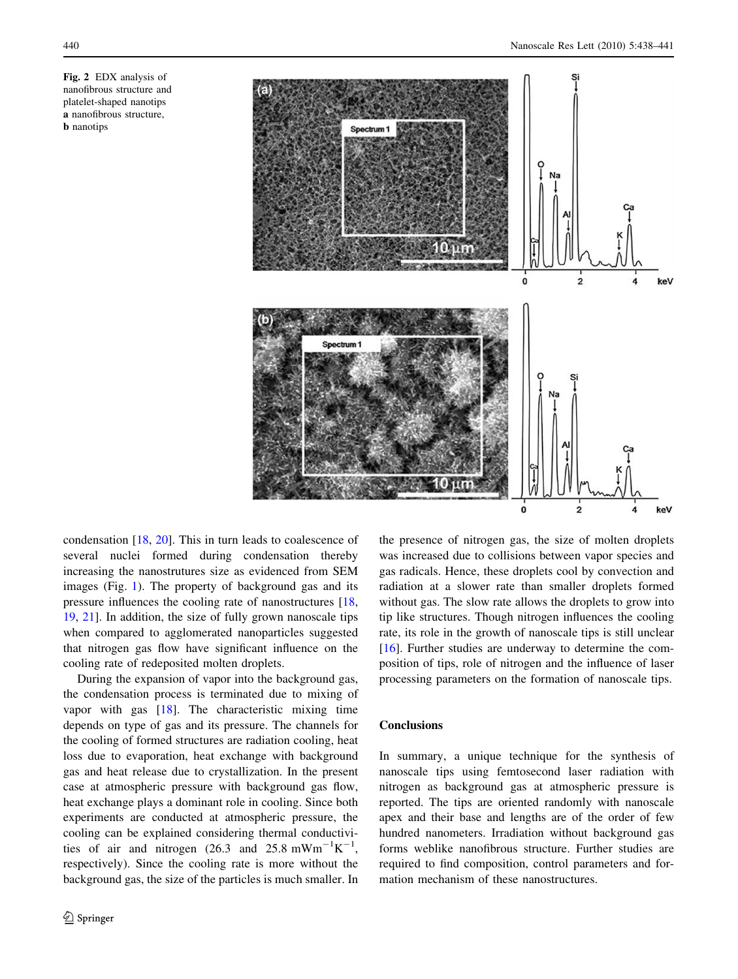<span id="page-2-0"></span>



condensation [\[18](#page-3-0), [20\]](#page-3-0). This in turn leads to coalescence of several nuclei formed during condensation thereby increasing the nanostrutures size as evidenced from SEM images (Fig. [1](#page-1-0)). The property of background gas and its pressure influences the cooling rate of nanostructures [[18,](#page-3-0) [19](#page-3-0), [21\]](#page-3-0). In addition, the size of fully grown nanoscale tips when compared to agglomerated nanoparticles suggested that nitrogen gas flow have significant influence on the cooling rate of redeposited molten droplets.

During the expansion of vapor into the background gas, the condensation process is terminated due to mixing of vapor with gas [\[18\]](#page-3-0). The characteristic mixing time depends on type of gas and its pressure. The channels for the cooling of formed structures are radiation cooling, heat loss due to evaporation, heat exchange with background gas and heat release due to crystallization. In the present case at atmospheric pressure with background gas flow, heat exchange plays a dominant role in cooling. Since both experiments are conducted at atmospheric pressure, the cooling can be explained considering thermal conductivities of air and nitrogen (26.3 and 25.8 mWm<sup>-1</sup>K<sup>-1</sup>, respectively). Since the cooling rate is more without the background gas, the size of the particles is much smaller. In the presence of nitrogen gas, the size of molten droplets was increased due to collisions between vapor species and gas radicals. Hence, these droplets cool by convection and radiation at a slower rate than smaller droplets formed without gas. The slow rate allows the droplets to grow into tip like structures. Though nitrogen influences the cooling rate, its role in the growth of nanoscale tips is still unclear [\[16](#page-3-0)]. Further studies are underway to determine the composition of tips, role of nitrogen and the influence of laser processing parameters on the formation of nanoscale tips.

# Conclusions

In summary, a unique technique for the synthesis of nanoscale tips using femtosecond laser radiation with nitrogen as background gas at atmospheric pressure is reported. The tips are oriented randomly with nanoscale apex and their base and lengths are of the order of few hundred nanometers. Irradiation without background gas forms weblike nanofibrous structure. Further studies are required to find composition, control parameters and formation mechanism of these nanostructures.